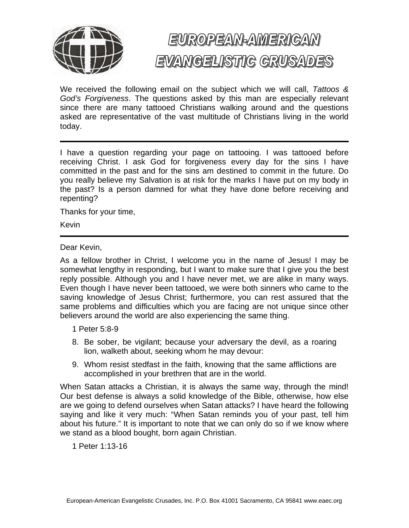

## EUROPEAN-AMERICAN EVANGELISTIC GRUSADES

We received the following email on the subject which we will call, *Tattoos & God's Forgiveness*. The questions asked by this man are especially relevant since there are many tattooed Christians walking around and the questions asked are representative of the vast multitude of Christians living in the world today.

I have a question regarding your page on tattooing. I was tattooed before receiving Christ. I ask God for forgiveness every day for the sins I have committed in the past and for the sins am destined to commit in the future. Do you really believe my Salvation is at risk for the marks I have put on my body in the past? Is a person damned for what they have done before receiving and repenting?

Thanks for your time,

Kevin

Dear Kevin,

As a fellow brother in Christ, I welcome you in the name of Jesus! I may be somewhat lengthy in responding, but I want to make sure that I give you the best reply possible. Although you and I have never met, we are alike in many ways. Even though I have never been tattooed, we were both sinners who came to the saving knowledge of Jesus Christ; furthermore, you can rest assured that the same problems and difficulties which you are facing are not unique since other believers around the world are also experiencing the same thing.

- 1 Peter 5:8-9
- 8. Be sober, be vigilant; because your adversary the devil, as a roaring lion, walketh about, seeking whom he may devour:
- 9. Whom resist stedfast in the faith, knowing that the same afflictions are accomplished in your brethren that are in the world.

When Satan attacks a Christian, it is always the same way, through the mind! Our best defense is always a solid knowledge of the Bible, otherwise, how else are we going to defend ourselves when Satan attacks? I have heard the following saying and like it very much: "When Satan reminds you of your past, tell him about his future." It is important to note that we can only do so if we know where we stand as a blood bought, born again Christian.

1 Peter 1:13-16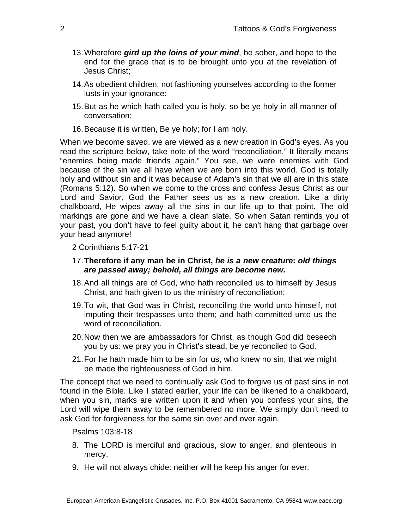- 13. Wherefore *gird up the loins of your mind*, be sober, and hope to the end for the grace that is to be brought unto you at the revelation of Jesus Christ;
- 14. As obedient children, not fashioning yourselves according to the former lusts in your ignorance:
- 15. But as he which hath called you is holy, so be ye holy in all manner of conversation;
- 16. Because it is written, Be ye holy; for I am holy.

When we become saved, we are viewed as a new creation in God's eyes. As you read the scripture below, take note of the word "reconciliation." It literally means "enemies being made friends again." You see, we were enemies with God because of the sin we all have when we are born into this world. God is totally holy and without sin and it was because of Adam's sin that we all are in this state (Romans 5:12). So when we come to the cross and confess Jesus Christ as our Lord and Savior, God the Father sees us as a new creation. Like a dirty chalkboard, He wipes away all the sins in our life up to that point. The old markings are gone and we have a clean slate. So when Satan reminds you of your past, you don't have to feel guilty about it, he can't hang that garbage over your head anymore!

2 Corinthians 5:17-21

## 17. **Therefore if any man be in Christ,** *he is a new creature***:** *old things are passed away; behold, all things are become new.*

- 18. And all things are of God, who hath reconciled us to himself by Jesus Christ, and hath given to us the ministry of reconciliation;
- 19. To wit, that God was in Christ, reconciling the world unto himself, not imputing their trespasses unto them; and hath committed unto us the word of reconciliation.
- 20. Now then we are ambassadors for Christ, as though God did beseech you by us: we pray you in Christ's stead, be ye reconciled to God.
- 21. For he hath made him to be sin for us, who knew no sin; that we might be made the righteousness of God in him.

The concept that we need to continually ask God to forgive us of past sins in not found in the Bible. Like I stated earlier, your life can be likened to a chalkboard, when you sin, marks are written upon it and when you confess your sins, the Lord will wipe them away to be remembered no more. We simply don't need to ask God for forgiveness for the same sin over and over again.

Psalms 103:8-18

- 8. The LORD is merciful and gracious, slow to anger, and plenteous in mercy.
- 9. He will not always chide: neither will he keep his anger for ever.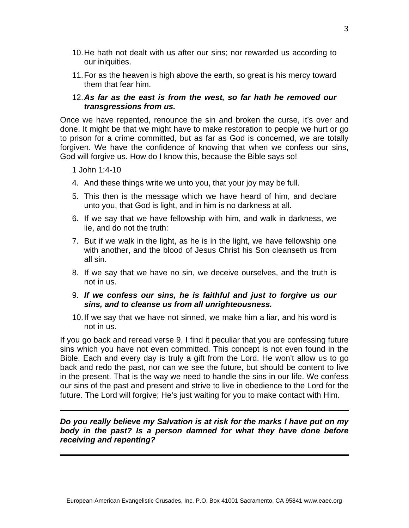- 10. He hath not dealt with us after our sins; nor rewarded us according to our iniquities.
- 11. For as the heaven is high above the earth, so great is his mercy toward them that fear him.

## 12. *As far as the east is from the west, so far hath he removed our transgressions from us.*

Once we have repented, renounce the sin and broken the curse, it's over and done. It might be that we might have to make restoration to people we hurt or go to prison for a crime committed, but as far as God is concerned, we are totally forgiven. We have the confidence of knowing that when we confess our sins, God will forgive us. How do I know this, because the Bible says so!

- 1 John 1:4-10
- 4. And these things write we unto you, that your joy may be full.
- 5. This then is the message which we have heard of him, and declare unto you, that God is light, and in him is no darkness at all.
- 6. If we say that we have fellowship with him, and walk in darkness, we lie, and do not the truth:
- 7. But if we walk in the light, as he is in the light, we have fellowship one with another, and the blood of Jesus Christ his Son cleanseth us from all sin.
- 8. If we say that we have no sin, we deceive ourselves, and the truth is not in us.
- 9. *If we confess our sins, he is faithful and just to forgive us our sins, and to cleanse us from all unrighteousness.*
- 10. If we say that we have not sinned, we make him a liar, and his word is not in us.

If you go back and reread verse 9, I find it peculiar that you are confessing future sins which you have not even committed. This concept is not even found in the Bible. Each and every day is truly a gift from the Lord. He won't allow us to go back and redo the past, nor can we see the future, but should be content to live in the present. That is the way we need to handle the sins in our life. We confess our sins of the past and present and strive to live in obedience to the Lord for the future. The Lord will forgive; He's just waiting for you to make contact with Him.

## *Do you really believe my Salvation is at risk for the marks I have put on my body in the past? Is a person damned for what they have done before receiving and repenting?*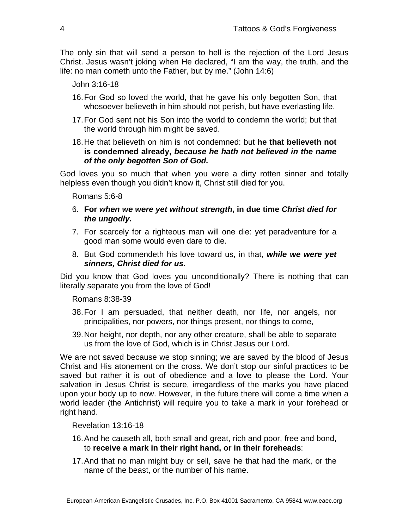The only sin that will send a person to hell is the rejection of the Lord Jesus Christ. Jesus wasn't joking when He declared, "I am the way, the truth, and the life: no man cometh unto the Father, but by me." (John 14:6)

John 3:16-18

- 16. For God so loved the world, that he gave his only begotten Son, that whosoever believeth in him should not perish, but have everlasting life.
- 17. For God sent not his Son into the world to condemn the world; but that the world through him might be saved.
- 18. He that believeth on him is not condemned: but **he that believeth not is condemned already,** *because he hath not believed in the name of the only begotten Son of God.*

God loves you so much that when you were a dirty rotten sinner and totally helpless even though you didn't know it, Christ still died for you.

Romans 5:6-8

- 6. **For** *when we were yet without strength***, in due time** *Christ died for the ungodly***.**
- 7. For scarcely for a righteous man will one die: yet peradventure for a good man some would even dare to die.
- 8. But God commendeth his love toward us, in that, *while we were yet sinners, Christ died for us.*

Did you know that God loves you unconditionally? There is nothing that can literally separate you from the love of God!

Romans 8:38-39

- 38. For I am persuaded, that neither death, nor life, nor angels, nor principalities, nor powers, nor things present, nor things to come,
- 39. Nor height, nor depth, nor any other creature, shall be able to separate us from the love of God, which is in Christ Jesus our Lord.

We are not saved because we stop sinning; we are saved by the blood of Jesus Christ and His atonement on the cross. We don't stop our sinful practices to be saved but rather it is out of obedience and a love to please the Lord. Your salvation in Jesus Christ is secure, irregardless of the marks you have placed upon your body up to now. However, in the future there will come a time when a world leader (the Antichrist) will require you to take a mark in your forehead or right hand.

Revelation 13:16-18

- 16. And he causeth all, both small and great, rich and poor, free and bond, to **receive a mark in their right hand, or in their foreheads**:
- 17. And that no man might buy or sell, save he that had the mark, or the name of the beast, or the number of his name.